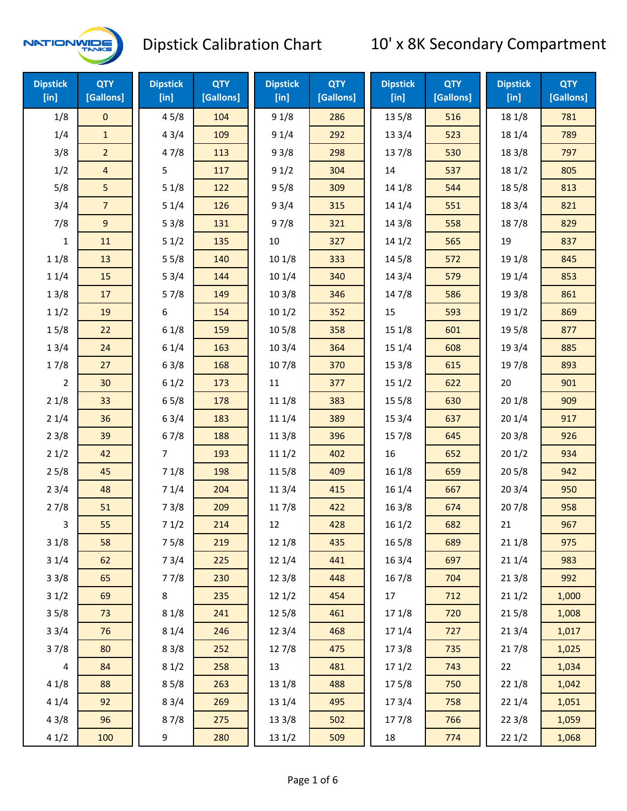

| <b>Dipstick</b><br>$[$ in] | <b>QTY</b><br>[Gallons] | <b>Dipstick</b><br>[in] | <b>QTY</b><br>[Gallons] | <b>Dipstick</b><br>$[$ in] | <b>QTY</b><br>[Gallons] | <b>Dipstick</b><br>$[$ in] | <b>QTY</b><br>[Gallons] | <b>Dipstick</b><br>[in] | <b>QTY</b><br>[Gallons] |
|----------------------------|-------------------------|-------------------------|-------------------------|----------------------------|-------------------------|----------------------------|-------------------------|-------------------------|-------------------------|
| 1/8                        | $\mathbf 0$             | 45/8                    | 104                     | 91/8                       | 286                     | 13 5/8                     | 516                     | 18 1/8                  | 781                     |
| 1/4                        | $\mathbf{1}$            | 43/4                    | 109                     | 91/4                       | 292                     | 13 3/4                     | 523                     | 18 1/4                  | 789                     |
| 3/8                        | $\overline{2}$          | 47/8                    | 113                     | 93/8                       | 298                     | 137/8                      | 530                     | 18 3/8                  | 797                     |
| 1/2                        | $\overline{4}$          | 5                       | 117                     | 91/2                       | 304                     | 14                         | 537                     | 18 1/2                  | 805                     |
| 5/8                        | 5                       | 51/8                    | 122                     | 95/8                       | 309                     | 14 1/8                     | 544                     | 185/8                   | 813                     |
| 3/4                        | $\overline{7}$          | 51/4                    | 126                     | 93/4                       | 315                     | 14 1/4                     | 551                     | 18 3/4                  | 821                     |
| 7/8                        | 9                       | 53/8                    | 131                     | 97/8                       | 321                     | 14 3/8                     | 558                     | 187/8                   | 829                     |
| $\mathbf{1}$               | 11                      | 51/2                    | 135                     | 10                         | 327                     | 141/2                      | 565                     | 19                      | 837                     |
| 11/8                       | 13                      | 55/8                    | 140                     | 10 1/8                     | 333                     | 145/8                      | 572                     | 19 1/8                  | 845                     |
| 11/4                       | 15                      | 53/4                    | 144                     | 101/4                      | 340                     | 14 3/4                     | 579                     | 19 1/4                  | 853                     |
| 13/8                       | 17                      | 57/8                    | 149                     | 103/8                      | 346                     | 147/8                      | 586                     | 19 3/8                  | 861                     |
| 11/2                       | 19                      | 6                       | 154                     | 101/2                      | 352                     | 15                         | 593                     | 19 1/2                  | 869                     |
| 15/8                       | 22                      | 61/8                    | 159                     | 10 <sub>5/8</sub>          | 358                     | 15 1/8                     | 601                     | 19 5/8                  | 877                     |
| 13/4                       | 24                      | 61/4                    | 163                     | 103/4                      | 364                     | 15 1/4                     | 608                     | 19 3/4                  | 885                     |
| 17/8                       | 27                      | 63/8                    | 168                     | 107/8                      | 370                     | 15 3/8                     | 615                     | 197/8                   | 893                     |
| $\overline{2}$             | 30                      | 61/2                    | 173                     | 11                         | 377                     | 151/2                      | 622                     | 20                      | 901                     |
| 21/8                       | 33                      | 65/8                    | 178                     | 11 1/8                     | 383                     | 15 5/8                     | 630                     | 201/8                   | 909                     |
| 21/4                       | 36                      | 63/4                    | 183                     | 11 1/4                     | 389                     | 15 3/4                     | 637                     | 201/4                   | 917                     |
| 23/8                       | 39                      | 67/8                    | 188                     | 11 3/8                     | 396                     | 15 7/8                     | 645                     | 203/8                   | 926                     |
| 21/2                       | 42                      | $\overline{7}$          | 193                     | 111/2                      | 402                     | 16                         | 652                     | 201/2                   | 934                     |
| 25/8                       | 45                      | 71/8                    | 198                     | 11 5/8                     | 409                     | 161/8                      | 659                     | 205/8                   | 942                     |
| 23/4                       | 48                      | 71/4                    | 204                     | 113/4                      | 415                     | 16 1/4                     | 667                     | 203/4                   | 950                     |
| 27/8                       | 51                      | 73/8                    | 209                     | 11 7/8                     | 422                     | 16 3/8                     | 674                     | 207/8                   | 958                     |
| 3                          | 55                      | 71/2                    | 214                     | 12                         | 428                     | 161/2                      | 682                     | 21                      | 967                     |
| 31/8                       | 58                      | 75/8                    | 219                     | 12 1/8                     | 435                     | 16 5/8                     | 689                     | 21 1/8                  | 975                     |
| 31/4                       | 62                      | 73/4                    | 225                     | 12 1/4                     | 441                     | 16 3/4                     | 697                     | 211/4                   | 983                     |
| 33/8                       | 65                      | 77/8                    | 230                     | 12 3/8                     | 448                     | 16 7/8                     | 704                     | 213/8                   | 992                     |
| 31/2                       | 69                      | $\bf 8$                 | 235                     | 121/2                      | 454                     | 17                         | 712                     | 211/2                   | 1,000                   |
| 35/8                       | 73                      | 81/8                    | 241                     | 12 5/8                     | 461                     | 17 1/8                     | 720                     | 215/8                   | 1,008                   |
| 33/4                       | 76                      | 81/4                    | 246                     | 123/4                      | 468                     | 17 1/4                     | 727                     | 213/4                   | 1,017                   |
| 37/8                       | 80                      | 83/8                    | 252                     | 12 7/8                     | 475                     | 173/8                      | 735                     | 217/8                   | 1,025                   |
| 4                          | 84                      | 81/2                    | 258                     | 13                         | 481                     | 171/2                      | 743                     | 22                      | 1,034                   |
| 41/8                       | 88                      | 85/8                    | 263                     | 13 1/8                     | 488                     | 175/8                      | 750                     | 221/8                   | 1,042                   |
| 41/4                       | 92                      | 83/4                    | 269                     | 13 1/4                     | 495                     | 17 3/4                     | 758                     | 221/4                   | 1,051                   |
| 43/8                       | 96                      | 87/8                    | 275                     | 13 3/8                     | 502                     | 177/8                      | 766                     | 223/8                   | 1,059                   |
| 41/2                       | 100                     | 9                       | 280                     | 13 1/2                     | 509                     | 18                         | 774                     | 221/2                   | 1,068                   |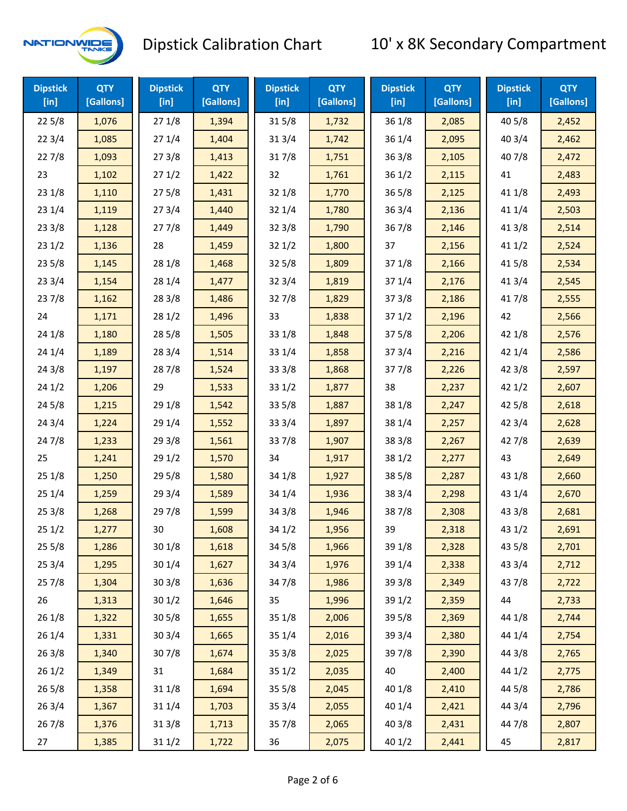

| <b>Dipstick</b><br>$[$ in] | <b>QTY</b><br>[Gallons] | <b>Dipstick</b><br>$[$ in] | <b>QTY</b><br>[Gallons] | <b>Dipstick</b><br>$[$ in] | <b>QTY</b><br>[Gallons] | <b>Dipstick</b><br>$[$ in] | <b>QTY</b><br>[Gallons] | <b>Dipstick</b><br>$[$ in] | <b>QTY</b><br>[Gallons] |
|----------------------------|-------------------------|----------------------------|-------------------------|----------------------------|-------------------------|----------------------------|-------------------------|----------------------------|-------------------------|
| 225/8                      | 1,076                   | 271/8                      | 1,394                   | 315/8                      | 1,732                   | 36 1/8                     | 2,085                   | 40 5/8                     | 2,452                   |
| 223/4                      | 1,085                   | 271/4                      | 1,404                   | 313/4                      | 1,742                   | 36 1/4                     | 2,095                   | 403/4                      | 2,462                   |
| 227/8                      | 1,093                   | 273/8                      | 1,413                   | 317/8                      | 1,751                   | 363/8                      | 2,105                   | 407/8                      | 2,472                   |
| 23                         | 1,102                   | 271/2                      | 1,422                   | 32                         | 1,761                   | 36 1/2                     | 2,115                   | 41                         | 2,483                   |
| 23 1/8                     | 1,110                   | 275/8                      | 1,431                   | 32 1/8                     | 1,770                   | 36 5/8                     | 2,125                   | 41 1/8                     | 2,493                   |
| 23 1/4                     | 1,119                   | 273/4                      | 1,440                   | 321/4                      | 1,780                   | 36 3/4                     | 2,136                   | 41 1/4                     | 2,503                   |
| 23 3/8                     | 1,128                   | 277/8                      | 1,449                   | 323/8                      | 1,790                   | 367/8                      | 2,146                   | 413/8                      | 2,514                   |
| 231/2                      | 1,136                   | 28                         | 1,459                   | 321/2                      | 1,800                   | 37                         | 2,156                   | 411/2                      | 2,524                   |
| 23 5/8                     | 1,145                   | 28 1/8                     | 1,468                   | $32\,5/8$                  | 1,809                   | 37 1/8                     | 2,166                   | 41 5/8                     | 2,534                   |
| 233/4                      | 1,154                   | 28 1/4                     | 1,477                   | 323/4                      | 1,819                   | 37 1/4                     | 2,176                   | 41 3/4                     | 2,545                   |
| 237/8                      | 1,162                   | 28 3/8                     | 1,486                   | 327/8                      | 1,829                   | 37 3/8                     | 2,186                   | 417/8                      | 2,555                   |
| 24                         | 1,171                   | 281/2                      | 1,496                   | 33                         | 1,838                   | 371/2                      | 2,196                   | 42                         | 2,566                   |
| 24 1/8                     | 1,180                   | 285/8                      | 1,505                   | 33 1/8                     | 1,848                   | 375/8                      | 2,206                   | 42 1/8                     | 2,576                   |
| 24 1/4                     | 1,189                   | 28 3/4                     | 1,514                   | 33 1/4                     | 1,858                   | 37 3/4                     | 2,216                   | 42 1/4                     | 2,586                   |
| 243/8                      | 1,197                   | 28 7/8                     | 1,524                   | 33 3/8                     | 1,868                   | 377/8                      | 2,226                   | 42 3/8                     | 2,597                   |
| 241/2                      | 1,206                   | 29                         | 1,533                   | 331/2                      | 1,877                   | 38                         | 2,237                   | 421/2                      | 2,607                   |
| 245/8                      | 1,215                   | 29 1/8                     | 1,542                   | 335/8                      | 1,887                   | 38 1/8                     | 2,247                   | 42 5/8                     | 2,618                   |
| 243/4                      | 1,224                   | 29 1/4                     | 1,552                   | 33 3/4                     | 1,897                   | 38 1/4                     | 2,257                   | 42 3/4                     | 2,628                   |
| 24 7/8                     | 1,233                   | 29 3/8                     | 1,561                   | 337/8                      | 1,907                   | 38 3/8                     | 2,267                   | 42 7/8                     | 2,639                   |
| 25                         | 1,241                   | 291/2                      | 1,570                   | 34                         | 1,917                   | 38 1/2                     | 2,277                   | 43                         | 2,649                   |
| 25 1/8                     | 1,250                   | 29 5/8                     | 1,580                   | 34 1/8                     | 1,927                   | 38 5/8                     | 2,287                   | 43 1/8                     | 2,660                   |
| 25 1/4                     | 1,259                   | 29 3/4                     | 1,589                   | 34 1/4                     | 1,936                   | 38 3/4                     | 2,298                   | 43 1/4                     | 2,670                   |
| 253/8                      | 1,268                   | 297/8                      | 1,599                   | 343/8                      | 1,946                   | 387/8                      | 2,308                   | 43 3/8                     | 2,681                   |
| 251/2                      | 1,277                   | 30                         | 1,608                   | 34 1/2                     | 1,956                   | 39                         | 2,318                   | 43 1/2                     | 2,691                   |
| 255/8                      | 1,286                   | 30 1/8                     | 1,618                   | 34 5/8                     | 1,966                   | 39 1/8                     | 2,328                   | 43 5/8                     | 2,701                   |
| 253/4                      | 1,295                   | 301/4                      | 1,627                   | 34 3/4                     | 1,976                   | 39 1/4                     | 2,338                   | 43 3/4                     | 2,712                   |
| 257/8                      | 1,304                   | 303/8                      | 1,636                   | 347/8                      | 1,986                   | 39 3/8                     | 2,349                   | 437/8                      | 2,722                   |
| 26                         | 1,313                   | 301/2                      | 1,646                   | 35                         | 1,996                   | 39 1/2                     | 2,359                   | 44                         | 2,733                   |
| 26 1/8                     | 1,322                   | 305/8                      | 1,655                   | 35 1/8                     | 2,006                   | 39 5/8                     | 2,369                   | 44 1/8                     | 2,744                   |
| 26 1/4                     | 1,331                   | 303/4                      | 1,665                   | 35 1/4                     | 2,016                   | 39 3/4                     | 2,380                   | 44 1/4                     | 2,754                   |
| 263/8                      | 1,340                   | 307/8                      | 1,674                   | 35 3/8                     | 2,025                   | 397/8                      | 2,390                   | 44 3/8                     | 2,765                   |
| 261/2                      | 1,349                   | 31                         | 1,684                   | 351/2                      | 2,035                   | 40                         | 2,400                   | 44 1/2                     | 2,775                   |
| 265/8                      | 1,358                   | 31 1/8                     | 1,694                   | 355/8                      | 2,045                   | 40 1/8                     | 2,410                   | 44 5/8                     | 2,786                   |
| 263/4                      | 1,367                   | 31 1/4                     | 1,703                   | 35 3/4                     | 2,055                   | 40 1/4                     | 2,421                   | 44 3/4                     | 2,796                   |
| 267/8                      | 1,376                   | 313/8                      | 1,713                   | 357/8                      | 2,065                   | 40 3/8                     | 2,431                   | 447/8                      | 2,807                   |
| 27                         | 1,385                   | 311/2                      | 1,722                   | 36                         | 2,075                   | 40 1/2                     | 2,441                   | 45                         | 2,817                   |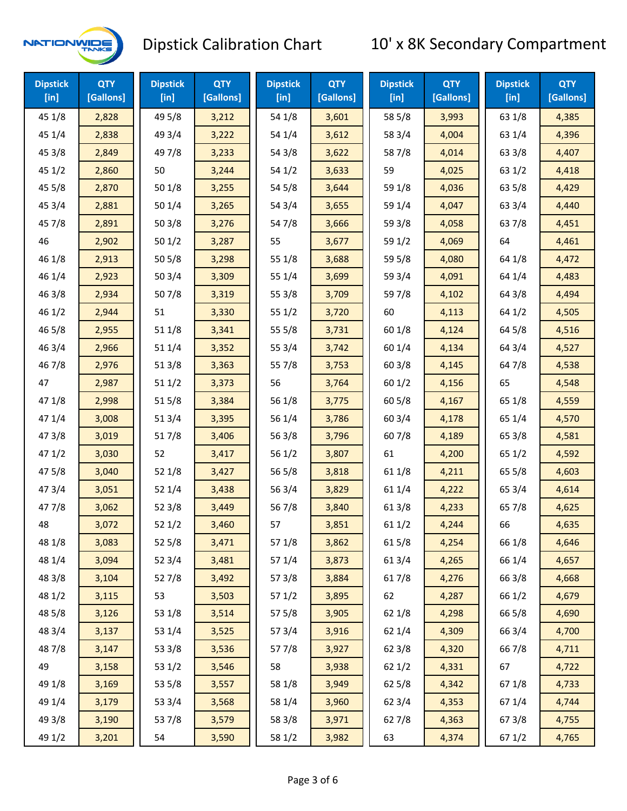

| <b>Dipstick</b><br>$[$ in] | <b>QTY</b><br>[Gallons] | <b>Dipstick</b><br>$[$ in] | <b>QTY</b><br>[Gallons] | <b>Dipstick</b><br>[in] | <b>QTY</b><br>[Gallons] | <b>Dipstick</b><br>$[$ in] | <b>QTY</b><br>[Gallons] | <b>Dipstick</b><br>$[$ in] | <b>QTY</b><br>[Gallons] |
|----------------------------|-------------------------|----------------------------|-------------------------|-------------------------|-------------------------|----------------------------|-------------------------|----------------------------|-------------------------|
| 45 1/8                     | 2,828                   | 49 5/8                     | 3,212                   | 54 1/8                  | 3,601                   | 58 5/8                     | 3,993                   | 63 1/8                     | 4,385                   |
| 45 1/4                     | 2,838                   | 49 3/4                     | 3,222                   | 54 1/4                  | 3,612                   | 58 3/4                     | 4,004                   | 63 1/4                     | 4,396                   |
| 45 3/8                     | 2,849                   | 49 7/8                     | 3,233                   | 54 3/8                  | 3,622                   | 587/8                      | 4,014                   | 63 3/8                     | 4,407                   |
| 451/2                      | 2,860                   | 50                         | 3,244                   | 54 1/2                  | 3,633                   | 59                         | 4,025                   | 63 1/2                     | 4,418                   |
| 45 5/8                     | 2,870                   | 50 1/8                     | 3,255                   | 54 5/8                  | 3,644                   | 59 1/8                     | 4,036                   | 63 5/8                     | 4,429                   |
| 45 3/4                     | 2,881                   | 50 1/4                     | 3,265                   | 54 3/4                  | 3,655                   | 59 1/4                     | 4,047                   | 63 3/4                     | 4,440                   |
| 45 7/8                     | 2,891                   | 503/8                      | 3,276                   | 547/8                   | 3,666                   | 59 3/8                     | 4,058                   | 637/8                      | 4,451                   |
| 46                         | 2,902                   | 501/2                      | 3,287                   | 55                      | 3,677                   | 59 1/2                     | 4,069                   | 64                         | 4,461                   |
| 46 1/8                     | 2,913                   | 505/8                      | 3,298                   | 55 1/8                  | 3,688                   | 59 5/8                     | 4,080                   | 64 1/8                     | 4,472                   |
| 46 1/4                     | 2,923                   | 503/4                      | 3,309                   | 55 1/4                  | 3,699                   | 59 3/4                     | 4,091                   | 64 1/4                     | 4,483                   |
| 46 3/8                     | 2,934                   | 507/8                      | 3,319                   | 55 3/8                  | 3,709                   | 597/8                      | 4,102                   | 64 3/8                     | 4,494                   |
| 46 1/2                     | 2,944                   | 51                         | 3,330                   | 551/2                   | 3,720                   | 60                         | 4,113                   | 64 1/2                     | 4,505                   |
| 46 5/8                     | 2,955                   | 51 1/8                     | 3,341                   | 55 5/8                  | 3,731                   | 60 1/8                     | 4,124                   | 64 5/8                     | 4,516                   |
| 46 3/4                     | 2,966                   | 51 1/4                     | 3,352                   | 55 3/4                  | 3,742                   | 60 1/4                     | 4,134                   | 64 3/4                     | 4,527                   |
| 46 7/8                     | 2,976                   | 513/8                      | 3,363                   | 557/8                   | 3,753                   | 60 3/8                     | 4,145                   | 64 7/8                     | 4,538                   |
| 47                         | 2,987                   | 511/2                      | 3,373                   | 56                      | 3,764                   | 60 1/2                     | 4,156                   | 65                         | 4,548                   |
| 47 1/8                     | 2,998                   | 515/8                      | 3,384                   | 56 1/8                  | 3,775                   | 60 5/8                     | 4,167                   | 65 1/8                     | 4,559                   |
| 47 1/4                     | 3,008                   | 513/4                      | 3,395                   | 56 1/4                  | 3,786                   | 60 3/4                     | 4,178                   | 65 1/4                     | 4,570                   |
| 47 3/8                     | 3,019                   | 517/8                      | 3,406                   | 56 3/8                  | 3,796                   | 607/8                      | 4,189                   | 65 3/8                     | 4,581                   |
| 471/2                      | 3,030                   | 52                         | 3,417                   | 561/2                   | 3,807                   | 61                         | 4,200                   | 65 1/2                     | 4,592                   |
| 475/8                      | 3,040                   | 52 1/8                     | 3,427                   | 56 5/8                  | 3,818                   | 61 1/8                     | 4,211                   | 65 5/8                     | 4,603                   |
| 47 3/4                     | 3,051                   | 52 1/4                     | 3,438                   | 56 3/4                  | 3,829                   | 61 1/4                     | 4,222                   | 65 3/4                     | 4,614                   |
| 47 7/8                     | 3,062                   | 523/8                      | 3,449                   | 567/8                   | 3,840                   | 61 3/8                     | 4,233                   | 65 7/8                     | 4,625                   |
| 48                         | 3,072                   | 521/2                      | 3,460                   | 57                      | 3,851                   | 611/2                      | 4,244                   | 66                         | 4,635                   |
| 48 1/8                     | 3,083                   | 52 5/8                     | 3,471                   | 57 1/8                  | 3,862                   | 615/8                      | 4,254                   | 66 1/8                     | 4,646                   |
| 48 1/4                     | 3,094                   | 52 3/4                     | 3,481                   | 57 1/4                  | 3,873                   | 613/4                      | 4,265                   | 66 1/4                     | 4,657                   |
| 48 3/8                     | 3,104                   | 527/8                      | 3,492                   | 57 3/8                  | 3,884                   | 617/8                      | 4,276                   | 66 3/8                     | 4,668                   |
| 48 1/2                     | 3,115                   | 53                         | 3,503                   | 571/2                   | 3,895                   | 62                         | 4,287                   | 66 1/2                     | 4,679                   |
| 48 5/8                     | 3,126                   | 53 1/8                     | 3,514                   | 57 5/8                  | 3,905                   | 62 1/8                     | 4,298                   | 66 5/8                     | 4,690                   |
| 48 3/4                     | 3,137                   | 53 1/4                     | 3,525                   | 573/4                   | 3,916                   | 62 1/4                     | 4,309                   | 66 3/4                     | 4,700                   |
| 487/8                      | 3,147                   | 53 3/8                     | 3,536                   | 577/8                   | 3,927                   | 623/8                      | 4,320                   | 667/8                      | 4,711                   |
| 49                         | 3,158                   | 53 1/2                     | 3,546                   | 58                      | 3,938                   | 62 1/2                     | 4,331                   | 67                         | 4,722                   |
| 49 1/8                     | 3,169                   | 53 5/8                     | 3,557                   | 58 1/8                  | 3,949                   | 62 5/8                     | 4,342                   | 671/8                      | 4,733                   |
| 49 1/4                     | 3,179                   | 53 3/4                     | 3,568                   | 58 1/4                  | 3,960                   | 62 3/4                     | 4,353                   | 671/4                      | 4,744                   |
| 49 3/8                     | 3,190                   | 537/8                      | 3,579                   | 58 3/8                  | 3,971                   | 627/8                      | 4,363                   | 67 3/8                     | 4,755                   |
| 49 1/2                     | 3,201                   | 54                         | 3,590                   | 58 1/2                  | 3,982                   | 63                         | 4,374                   | 67 1/2                     | 4,765                   |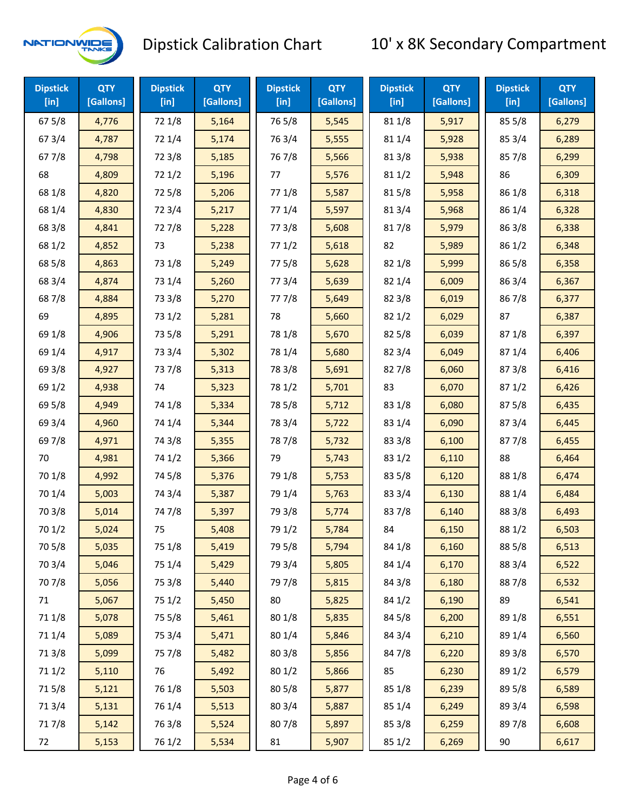

| <b>Dipstick</b><br>$[$ in] | <b>QTY</b><br>[Gallons] | <b>Dipstick</b><br>$[$ in] | <b>QTY</b><br>[Gallons] | <b>Dipstick</b><br>$[$ in] | <b>QTY</b><br>[Gallons] | <b>Dipstick</b><br>$[$ in] | <b>QTY</b><br>[Gallons] | <b>Dipstick</b><br>$[$ in] | <b>QTY</b><br>[Gallons] |
|----------------------------|-------------------------|----------------------------|-------------------------|----------------------------|-------------------------|----------------------------|-------------------------|----------------------------|-------------------------|
| 675/8                      | 4,776                   | 72 1/8                     | 5,164                   | 765/8                      | 5,545                   | 81 1/8                     | 5,917                   | 85 5/8                     | 6,279                   |
| 67 3/4                     | 4,787                   | 72 1/4                     | 5,174                   | 763/4                      | 5,555                   | 81 1/4                     | 5,928                   | 85 3/4                     | 6,289                   |
| 67 7/8                     | 4,798                   | 72 3/8                     | 5,185                   | 767/8                      | 5,566                   | 81 3/8                     | 5,938                   | 85 7/8                     | 6,299                   |
| 68                         | 4,809                   | 721/2                      | 5,196                   | 77                         | 5,576                   | 81 1/2                     | 5,948                   | 86                         | 6,309                   |
| 68 1/8                     | 4,820                   | 72 5/8                     | 5,206                   | 77 1/8                     | 5,587                   | 815/8                      | 5,958                   | 86 1/8                     | 6,318                   |
| 68 1/4                     | 4,830                   | 72 3/4                     | 5,217                   | 77 1/4                     | 5,597                   | 813/4                      | 5,968                   | 86 1/4                     | 6,328                   |
| 68 3/8                     | 4,841                   | 727/8                      | 5,228                   | 77 3/8                     | 5,608                   | 817/8                      | 5,979                   | 86 3/8                     | 6,338                   |
| 68 1/2                     | 4,852                   | 73                         | 5,238                   | 771/2                      | 5,618                   | 82                         | 5,989                   | 86 1/2                     | 6,348                   |
| 68 5/8                     | 4,863                   | 73 1/8                     | 5,249                   | 775/8                      | 5,628                   | 82 1/8                     | 5,999                   | 86 5/8                     | 6,358                   |
| 68 3/4                     | 4,874                   | 73 1/4                     | 5,260                   | 773/4                      | 5,639                   | 82 1/4                     | 6,009                   | 86 3/4                     | 6,367                   |
| 687/8                      | 4,884                   | 73 3/8                     | 5,270                   | 777/8                      | 5,649                   | 82 3/8                     | 6,019                   | 867/8                      | 6,377                   |
| 69                         | 4,895                   | 73 1/2                     | 5,281                   | 78                         | 5,660                   | 821/2                      | 6,029                   | 87                         | 6,387                   |
| 69 1/8                     | 4,906                   | 73 5/8                     | 5,291                   | 78 1/8                     | 5,670                   | 82 5/8                     | 6,039                   | 871/8                      | 6,397                   |
| 69 1/4                     | 4,917                   | 73 3/4                     | 5,302                   | 78 1/4                     | 5,680                   | 82 3/4                     | 6,049                   | 87 1/4                     | 6,406                   |
| 69 3/8                     | 4,927                   | 737/8                      | 5,313                   | 78 3/8                     | 5,691                   | 827/8                      | 6,060                   | 87 3/8                     | 6,416                   |
| 69 1/2                     | 4,938                   | 74                         | 5,323                   | 78 1/2                     | 5,701                   | 83                         | 6,070                   | 871/2                      | 6,426                   |
| 69 5/8                     | 4,949                   | 74 1/8                     | 5,334                   | 78 5/8                     | 5,712                   | 83 1/8                     | 6,080                   | 875/8                      | 6,435                   |
| 69 3/4                     | 4,960                   | 74 1/4                     | 5,344                   | 78 3/4                     | 5,722                   | 83 1/4                     | 6,090                   | 87 3/4                     | 6,445                   |
| 697/8                      | 4,971                   | 74 3/8                     | 5,355                   | 787/8                      | 5,732                   | 83 3/8                     | 6,100                   | 877/8                      | 6,455                   |
| 70                         | 4,981                   | 74 1/2                     | 5,366                   | 79                         | 5,743                   | 83 1/2                     | 6,110                   | 88                         | 6,464                   |
| 70 1/8                     | 4,992                   | 74 5/8                     | 5,376                   | 79 1/8                     | 5,753                   | 83 5/8                     | 6,120                   | 88 1/8                     | 6,474                   |
| 70 1/4                     | 5,003                   | 74 3/4                     | 5,387                   | 79 1/4                     | 5,763                   | 83 3/4                     | 6,130                   | 88 1/4                     | 6,484                   |
| 70 3/8                     | 5,014                   | 747/8                      | 5,397                   | 79 3/8                     | 5,774                   | 837/8                      | 6,140                   | 88 3/8                     | 6,493                   |
| 70 1/2                     | 5,024                   | 75                         | 5,408                   | 79 1/2                     | 5,784                   | 84                         | 6,150                   | 88 1/2                     | 6,503                   |
| 70 5/8                     | 5,035                   | 75 1/8                     | 5,419                   | 79 5/8                     | 5,794                   | 84 1/8                     | 6,160                   | 88 5/8                     | 6,513                   |
| 70 3/4                     | 5,046                   | 75 1/4                     | 5,429                   | 79 3/4                     | 5,805                   | 84 1/4                     | 6,170                   | 88 3/4                     | 6,522                   |
| 70 7/8                     | 5,056                   | 75 3/8                     | 5,440                   | 797/8                      | 5,815                   | 84 3/8                     | 6,180                   | 887/8                      | 6,532                   |
| 71                         | 5,067                   | 75 1/2                     | 5,450                   | 80                         | 5,825                   | 84 1/2                     | 6,190                   | 89                         | 6,541                   |
| 71 1/8                     | 5,078                   | 75 5/8                     | 5,461                   | 80 1/8                     | 5,835                   | 845/8                      | 6,200                   | 89 1/8                     | 6,551                   |
| 71 1/4                     | 5,089                   | 75 3/4                     | 5,471                   | 80 1/4                     | 5,846                   | 84 3/4                     | 6,210                   | 89 1/4                     | 6,560                   |
| 713/8                      | 5,099                   | 75 7/8                     | 5,482                   | 80 3/8                     | 5,856                   | 847/8                      | 6,220                   | 89 3/8                     | 6,570                   |
| 71 1/2                     | 5,110                   | 76                         | 5,492                   | 80 1/2                     | 5,866                   | 85                         | 6,230                   | 89 1/2                     | 6,579                   |
| 715/8                      | 5,121                   | 76 1/8                     | 5,503                   | 80 5/8                     | 5,877                   | 85 1/8                     | 6,239                   | 89 5/8                     | 6,589                   |
| 713/4                      | 5,131                   | 76 1/4                     | 5,513                   | 80 3/4                     | 5,887                   | 85 1/4                     | 6,249                   | 89 3/4                     | 6,598                   |
| 717/8                      | 5,142                   | 763/8                      | 5,524                   | 807/8                      | 5,897                   | 85 3/8                     | 6,259                   | 897/8                      | 6,608                   |
| 72                         | 5,153                   | 76 1/2                     | 5,534                   | 81                         | 5,907                   | 85 1/2                     | 6,269                   | 90                         | 6,617                   |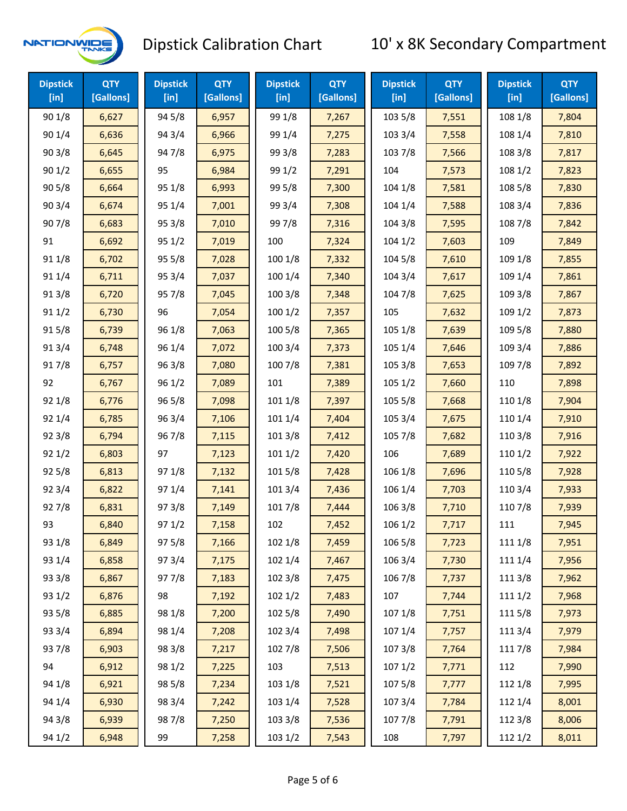

| <b>Dipstick</b><br>$[$ in] | <b>QTY</b><br>[Gallons] | <b>Dipstick</b><br>$[$ in] | <b>QTY</b><br>[Gallons] | <b>Dipstick</b><br>[ <sub>in</sub> ] | <b>QTY</b><br>[Gallons] | <b>Dipstick</b><br>$[$ in] | <b>QTY</b><br>[Gallons] | <b>Dipstick</b><br>[in] | <b>QTY</b><br>[Gallons] |
|----------------------------|-------------------------|----------------------------|-------------------------|--------------------------------------|-------------------------|----------------------------|-------------------------|-------------------------|-------------------------|
| 90 1/8                     | 6,627                   | 94 5/8                     | 6,957                   | 99 1/8                               | 7,267                   | 103 5/8                    | 7,551                   | 108 1/8                 | 7,804                   |
| 90 1/4                     | 6,636                   | 94 3/4                     | 6,966                   | 99 1/4                               | 7,275                   | 103 3/4                    | 7,558                   | 108 1/4                 | 7,810                   |
| 90 3/8                     | 6,645                   | 947/8                      | 6,975                   | 99 3/8                               | 7,283                   | 103 7/8                    | 7,566                   | 108 3/8                 | 7,817                   |
| 90 1/2                     | 6,655                   | 95                         | 6,984                   | 99 1/2                               | 7,291                   | 104                        | 7,573                   | 108 1/2                 | 7,823                   |
| 90 5/8                     | 6,664                   | 95 1/8                     | 6,993                   | 99 5/8                               | 7,300                   | 104 1/8                    | 7,581                   | 108 5/8                 | 7,830                   |
| 90 3/4                     | 6,674                   | 95 1/4                     | 7,001                   | 99 3/4                               | 7,308                   | 104 1/4                    | 7,588                   | 108 3/4                 | 7,836                   |
| 907/8                      | 6,683                   | 95 3/8                     | 7,010                   | 997/8                                | 7,316                   | 104 3/8                    | 7,595                   | 108 7/8                 | 7,842                   |
| 91                         | 6,692                   | 95 1/2                     | 7,019                   | 100                                  | 7,324                   | 1041/2                     | 7,603                   | 109                     | 7,849                   |
| 91 1/8                     | 6,702                   | 95 5/8                     | 7,028                   | 100 1/8                              | 7,332                   | 104 5/8                    | 7,610                   | 109 1/8                 | 7,855                   |
| 91 1/4                     | 6,711                   | 95 3/4                     | 7,037                   | 100 1/4                              | 7,340                   | 104 3/4                    | 7,617                   | 109 1/4                 | 7,861                   |
| 91 3/8                     | 6,720                   | 95 7/8                     | 7,045                   | 100 3/8                              | 7,348                   | 104 7/8                    | 7,625                   | 109 3/8                 | 7,867                   |
| 91 1/2                     | 6,730                   | 96                         | 7,054                   | 1001/2                               | 7,357                   | 105                        | 7,632                   | 109 1/2                 | 7,873                   |
| 915/8                      | 6,739                   | 96 1/8                     | 7,063                   | 100 5/8                              | 7,365                   | 105 1/8                    | 7,639                   | 109 5/8                 | 7,880                   |
| 913/4                      | 6,748                   | 96 1/4                     | 7,072                   | 100 3/4                              | 7,373                   | 105 1/4                    | 7,646                   | 109 3/4                 | 7,886                   |
| 917/8                      | 6,757                   | 96 3/8                     | 7,080                   | 100 7/8                              | 7,381                   | 105 3/8                    | 7,653                   | 109 7/8                 | 7,892                   |
| 92                         | 6,767                   | 96 1/2                     | 7,089                   | 101                                  | 7,389                   | 1051/2                     | 7,660                   | 110                     | 7,898                   |
| 92 1/8                     | 6,776                   | 96 5/8                     | 7,098                   | 101 1/8                              | 7,397                   | 105 5/8                    | 7,668                   | 110 1/8                 | 7,904                   |
| 92 1/4                     | 6,785                   | 96 3/4                     | 7,106                   | 101 1/4                              | 7,404                   | 105 3/4                    | 7,675                   | 110 1/4                 | 7,910                   |
| 923/8                      | 6,794                   | 967/8                      | 7,115                   | 101 3/8                              | 7,412                   | 105 7/8                    | 7,682                   | 110 3/8                 | 7,916                   |
| 92 1/2                     | 6,803                   | 97                         | 7,123                   | 1011/2                               | 7,420                   | 106                        | 7,689                   | 110 1/2                 | 7,922                   |
| 92 5/8                     | 6,813                   | 97 1/8                     | 7,132                   | 101 5/8                              | 7,428                   | 106 1/8                    | 7,696                   | 110 5/8                 | 7,928                   |
| 92 3/4                     | 6,822                   | 97 1/4                     | 7,141                   | 101 3/4                              | 7,436                   | 106 1/4                    | 7,703                   | 110 3/4                 | 7,933                   |
| 927/8                      | 6,831                   | 973/8                      | 7,149                   | 101 7/8                              | 7,444                   | 106 3/8                    | 7,710                   | 110 7/8                 | 7,939                   |
| 93                         | 6,840                   | 97 1/2                     | 7,158                   | 102                                  | 7,452                   | 106 1/2                    | 7,717                   | 111                     | 7,945                   |
| 93 1/8                     | 6,849                   | 975/8                      | 7,166                   | 102 1/8                              | 7,459                   | 106 5/8                    | 7,723                   | 111 1/8                 | 7,951                   |
| 93 1/4                     | 6,858                   | 973/4                      | 7,175                   | 102 1/4                              | 7,467                   | 106 3/4                    | 7,730                   | 111 1/4                 | 7,956                   |
| 93 3/8                     | 6,867                   | 977/8                      | 7,183                   | 102 3/8                              | 7,475                   | 106 7/8                    | 7,737                   | 111 3/8                 | 7,962                   |
| 93 1/2                     | 6,876                   | 98                         | 7,192                   | 102 1/2                              | 7,483                   | 107                        | 7,744                   | 111 1/2                 | 7,968                   |
| 93 5/8                     | 6,885                   | 98 1/8                     | 7,200                   | 102 5/8                              | 7,490                   | 107 1/8                    | 7,751                   | 1115/8                  | 7,973                   |
| 93 3/4                     | 6,894                   | 98 1/4                     | 7,208                   | 102 3/4                              | 7,498                   | 107 1/4                    | 7,757                   | 111 3/4                 | 7,979                   |
| 937/8                      | 6,903                   | 98 3/8                     | 7,217                   | 102 7/8                              | 7,506                   | 1073/8                     | 7,764                   | 111 7/8                 | 7,984                   |
| 94                         | 6,912                   | 98 1/2                     | 7,225                   | 103                                  | 7,513                   | 1071/2                     | 7,771                   | 112                     | 7,990                   |
| 94 1/8                     | 6,921                   | 98 5/8                     | 7,234                   | 103 1/8                              | 7,521                   | 1075/8                     | 7,777                   | 112 1/8                 | 7,995                   |
| 94 1/4                     | 6,930                   | 98 3/4                     | 7,242                   | 103 1/4                              | 7,528                   | 1073/4                     | 7,784                   | 112 1/4                 | 8,001                   |
| 94 3/8                     | 6,939                   | 987/8                      | 7,250                   | 103 3/8                              | 7,536                   | 1077/8                     | 7,791                   | 112 3/8                 | 8,006                   |
| 94 1/2                     | 6,948                   | 99                         | 7,258                   | 103 1/2                              | 7,543                   | 108                        | 7,797                   | 112 1/2                 | 8,011                   |